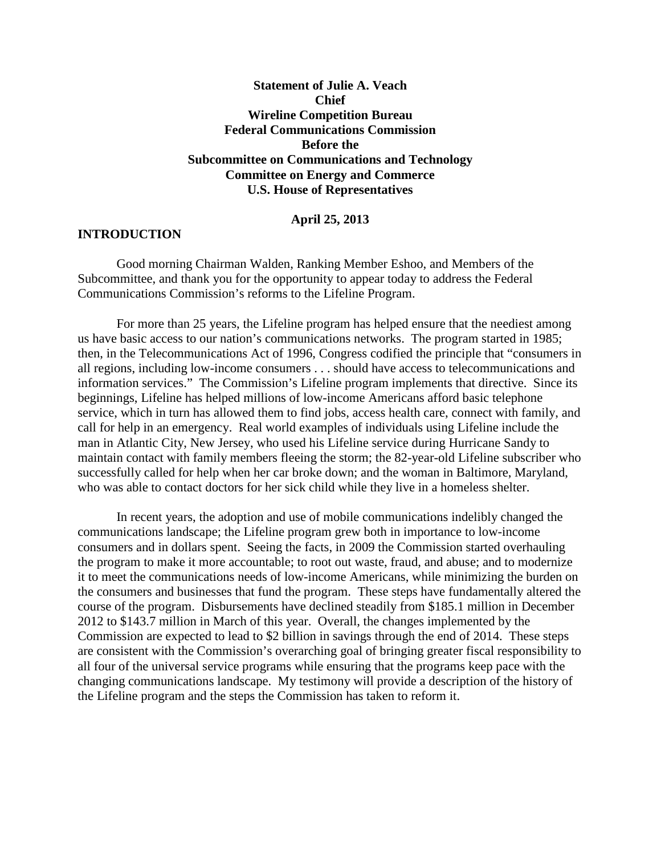**Statement of Julie A. Veach Chief Wireline Competition Bureau Federal Communications Commission Before the Subcommittee on Communications and Technology Committee on Energy and Commerce U.S. House of Representatives**

## **April 25, 2013**

## **INTRODUCTION**

Good morning Chairman Walden, Ranking Member Eshoo, and Members of the Subcommittee, and thank you for the opportunity to appear today to address the Federal Communications Commission's reforms to the Lifeline Program.

For more than 25 years, the Lifeline program has helped ensure that the neediest among us have basic access to our nation's communications networks. The program started in 1985; then, in the Telecommunications Act of 1996, Congress codified the principle that "consumers in all regions, including low-income consumers . . . should have access to telecommunications and information services." The Commission's Lifeline program implements that directive. Since its beginnings, Lifeline has helped millions of low-income Americans afford basic telephone service, which in turn has allowed them to find jobs, access health care, connect with family, and call for help in an emergency. Real world examples of individuals using Lifeline include the man in Atlantic City, New Jersey, who used his Lifeline service during Hurricane Sandy to maintain contact with family members fleeing the storm; the 82-year-old Lifeline subscriber who successfully called for help when her car broke down; and the woman in Baltimore, Maryland, who was able to contact doctors for her sick child while they live in a homeless shelter.

In recent years, the adoption and use of mobile communications indelibly changed the communications landscape; the Lifeline program grew both in importance to low-income consumers and in dollars spent. Seeing the facts, in 2009 the Commission started overhauling the program to make it more accountable; to root out waste, fraud, and abuse; and to modernize it to meet the communications needs of low-income Americans, while minimizing the burden on the consumers and businesses that fund the program. These steps have fundamentally altered the course of the program. Disbursements have declined steadily from \$185.1 million in December 2012 to \$143.7 million in March of this year. Overall, the changes implemented by the Commission are expected to lead to \$2 billion in savings through the end of 2014. These steps are consistent with the Commission's overarching goal of bringing greater fiscal responsibility to all four of the universal service programs while ensuring that the programs keep pace with the changing communications landscape. My testimony will provide a description of the history of the Lifeline program and the steps the Commission has taken to reform it.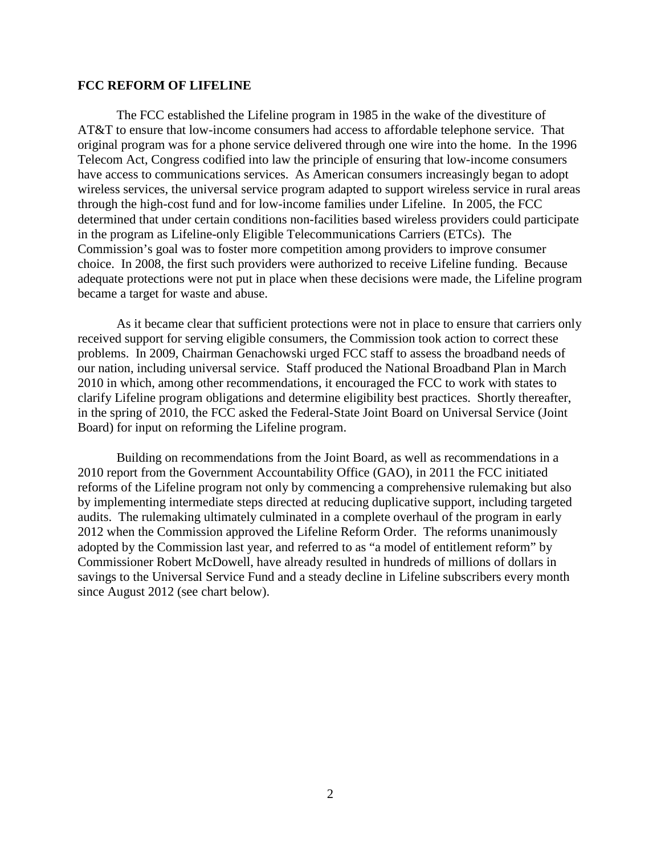## **FCC REFORM OF LIFELINE**

The FCC established the Lifeline program in 1985 in the wake of the divestiture of AT&T to ensure that low-income consumers had access to affordable telephone service. That original program was for a phone service delivered through one wire into the home. In the 1996 Telecom Act, Congress codified into law the principle of ensuring that low-income consumers have access to communications services. As American consumers increasingly began to adopt wireless services, the universal service program adapted to support wireless service in rural areas through the high-cost fund and for low-income families under Lifeline. In 2005, the FCC determined that under certain conditions non-facilities based wireless providers could participate in the program as Lifeline-only Eligible Telecommunications Carriers (ETCs). The Commission's goal was to foster more competition among providers to improve consumer choice. In 2008, the first such providers were authorized to receive Lifeline funding. Because adequate protections were not put in place when these decisions were made, the Lifeline program became a target for waste and abuse.

As it became clear that sufficient protections were not in place to ensure that carriers only received support for serving eligible consumers, the Commission took action to correct these problems. In 2009, Chairman Genachowski urged FCC staff to assess the broadband needs of our nation, including universal service. Staff produced the National Broadband Plan in March 2010 in which, among other recommendations, it encouraged the FCC to work with states to clarify Lifeline program obligations and determine eligibility best practices. Shortly thereafter, in the spring of 2010, the FCC asked the Federal-State Joint Board on Universal Service (Joint Board) for input on reforming the Lifeline program.

Building on recommendations from the Joint Board, as well as recommendations in a 2010 report from the Government Accountability Office (GAO), in 2011 the FCC initiated reforms of the Lifeline program not only by commencing a comprehensive rulemaking but also by implementing intermediate steps directed at reducing duplicative support, including targeted audits. The rulemaking ultimately culminated in a complete overhaul of the program in early 2012 when the Commission approved the Lifeline Reform Order. The reforms unanimously adopted by the Commission last year, and referred to as "a model of entitlement reform" by Commissioner Robert McDowell, have already resulted in hundreds of millions of dollars in savings to the Universal Service Fund and a steady decline in Lifeline subscribers every month since August 2012 (see chart below).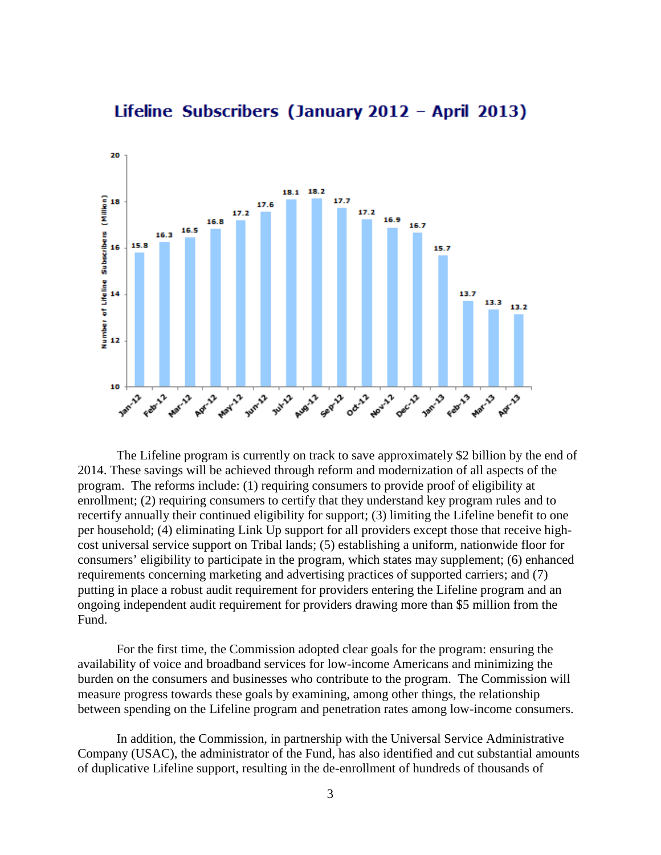

# Lifeline Subscribers (January 2012 - April 2013)

The Lifeline program is currently on track to save approximately \$2 billion by the end of 2014. These savings will be achieved through reform and modernization of all aspects of the program. The reforms include: (1) requiring consumers to provide proof of eligibility at enrollment; (2) requiring consumers to certify that they understand key program rules and to recertify annually their continued eligibility for support; (3) limiting the Lifeline benefit to one per household; (4) eliminating Link Up support for all providers except those that receive highcost universal service support on Tribal lands; (5) establishing a uniform, nationwide floor for consumers' eligibility to participate in the program, which states may supplement; (6) enhanced requirements concerning marketing and advertising practices of supported carriers; and (7) putting in place a robust audit requirement for providers entering the Lifeline program and an ongoing independent audit requirement for providers drawing more than \$5 million from the Fund.

For the first time, the Commission adopted clear goals for the program: ensuring the availability of voice and broadband services for low-income Americans and minimizing the burden on the consumers and businesses who contribute to the program. The Commission will measure progress towards these goals by examining, among other things, the relationship between spending on the Lifeline program and penetration rates among low-income consumers.

In addition, the Commission, in partnership with the Universal Service Administrative Company (USAC), the administrator of the Fund, has also identified and cut substantial amounts of duplicative Lifeline support, resulting in the de-enrollment of hundreds of thousands of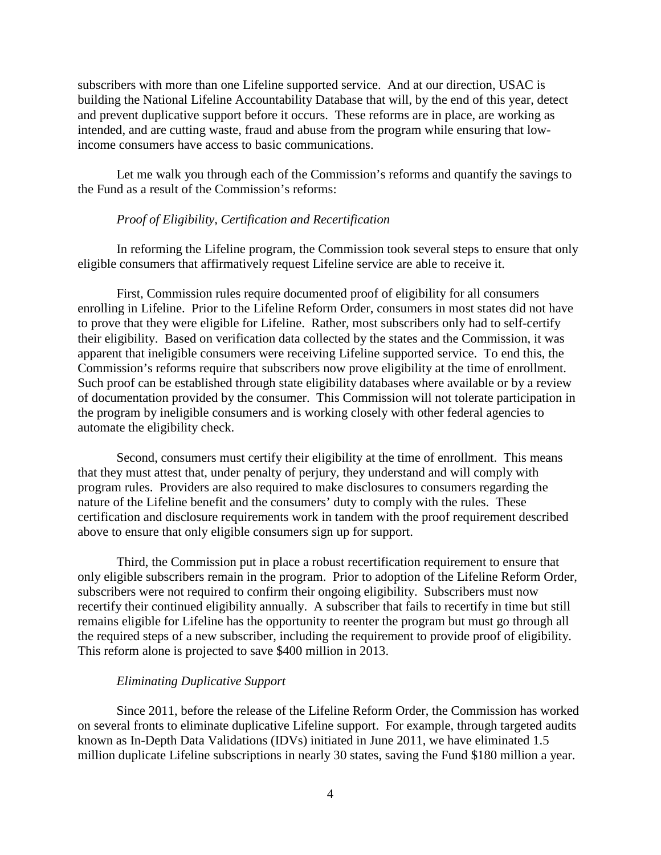subscribers with more than one Lifeline supported service. And at our direction, USAC is building the National Lifeline Accountability Database that will, by the end of this year, detect and prevent duplicative support before it occurs. These reforms are in place, are working as intended, and are cutting waste, fraud and abuse from the program while ensuring that lowincome consumers have access to basic communications.

Let me walk you through each of the Commission's reforms and quantify the savings to the Fund as a result of the Commission's reforms:

## *Proof of Eligibility, Certification and Recertification*

In reforming the Lifeline program, the Commission took several steps to ensure that only eligible consumers that affirmatively request Lifeline service are able to receive it.

First, Commission rules require documented proof of eligibility for all consumers enrolling in Lifeline. Prior to the Lifeline Reform Order, consumers in most states did not have to prove that they were eligible for Lifeline. Rather, most subscribers only had to self-certify their eligibility. Based on verification data collected by the states and the Commission, it was apparent that ineligible consumers were receiving Lifeline supported service. To end this, the Commission's reforms require that subscribers now prove eligibility at the time of enrollment. Such proof can be established through state eligibility databases where available or by a review of documentation provided by the consumer. This Commission will not tolerate participation in the program by ineligible consumers and is working closely with other federal agencies to automate the eligibility check.

Second, consumers must certify their eligibility at the time of enrollment. This means that they must attest that, under penalty of perjury, they understand and will comply with program rules. Providers are also required to make disclosures to consumers regarding the nature of the Lifeline benefit and the consumers' duty to comply with the rules. These certification and disclosure requirements work in tandem with the proof requirement described above to ensure that only eligible consumers sign up for support.

Third, the Commission put in place a robust recertification requirement to ensure that only eligible subscribers remain in the program. Prior to adoption of the Lifeline Reform Order, subscribers were not required to confirm their ongoing eligibility. Subscribers must now recertify their continued eligibility annually. A subscriber that fails to recertify in time but still remains eligible for Lifeline has the opportunity to reenter the program but must go through all the required steps of a new subscriber, including the requirement to provide proof of eligibility. This reform alone is projected to save \$400 million in 2013.

## *Eliminating Duplicative Support*

Since 2011, before the release of the Lifeline Reform Order, the Commission has worked on several fronts to eliminate duplicative Lifeline support. For example, through targeted audits known as In-Depth Data Validations (IDVs) initiated in June 2011, we have eliminated 1.5 million duplicate Lifeline subscriptions in nearly 30 states, saving the Fund \$180 million a year.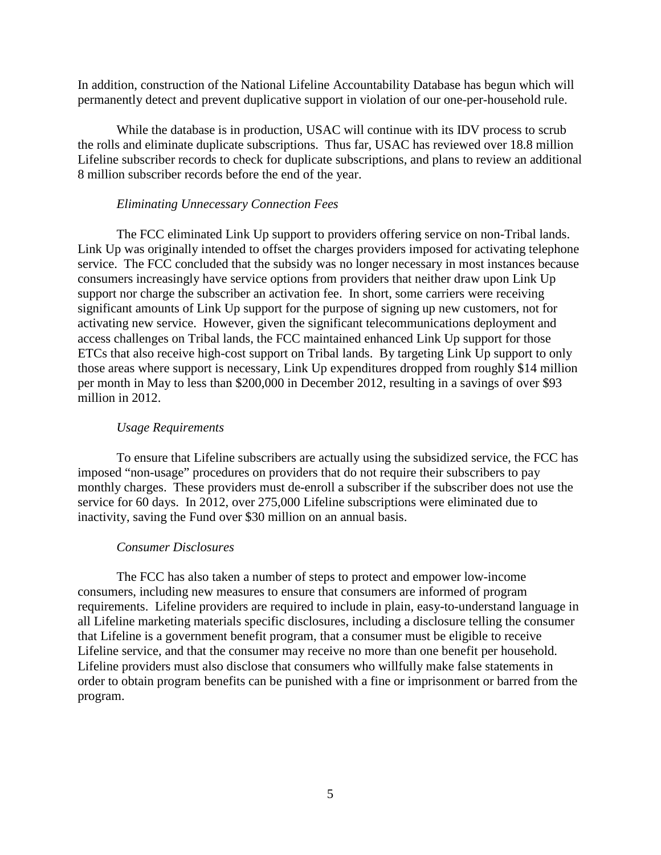In addition, construction of the National Lifeline Accountability Database has begun which will permanently detect and prevent duplicative support in violation of our one-per-household rule.

While the database is in production, USAC will continue with its IDV process to scrub the rolls and eliminate duplicate subscriptions. Thus far, USAC has reviewed over 18.8 million Lifeline subscriber records to check for duplicate subscriptions, and plans to review an additional 8 million subscriber records before the end of the year.

### *Eliminating Unnecessary Connection Fees*

The FCC eliminated Link Up support to providers offering service on non-Tribal lands. Link Up was originally intended to offset the charges providers imposed for activating telephone service. The FCC concluded that the subsidy was no longer necessary in most instances because consumers increasingly have service options from providers that neither draw upon Link Up support nor charge the subscriber an activation fee. In short, some carriers were receiving significant amounts of Link Up support for the purpose of signing up new customers, not for activating new service. However, given the significant telecommunications deployment and access challenges on Tribal lands, the FCC maintained enhanced Link Up support for those ETCs that also receive high-cost support on Tribal lands. By targeting Link Up support to only those areas where support is necessary, Link Up expenditures dropped from roughly \$14 million per month in May to less than \$200,000 in December 2012, resulting in a savings of over \$93 million in 2012.

#### *Usage Requirements*

To ensure that Lifeline subscribers are actually using the subsidized service, the FCC has imposed "non-usage" procedures on providers that do not require their subscribers to pay monthly charges. These providers must de-enroll a subscriber if the subscriber does not use the service for 60 days. In 2012, over 275,000 Lifeline subscriptions were eliminated due to inactivity, saving the Fund over \$30 million on an annual basis.

#### *Consumer Disclosures*

The FCC has also taken a number of steps to protect and empower low-income consumers, including new measures to ensure that consumers are informed of program requirements. Lifeline providers are required to include in plain, easy-to-understand language in all Lifeline marketing materials specific disclosures, including a disclosure telling the consumer that Lifeline is a government benefit program, that a consumer must be eligible to receive Lifeline service, and that the consumer may receive no more than one benefit per household. Lifeline providers must also disclose that consumers who willfully make false statements in order to obtain program benefits can be punished with a fine or imprisonment or barred from the program.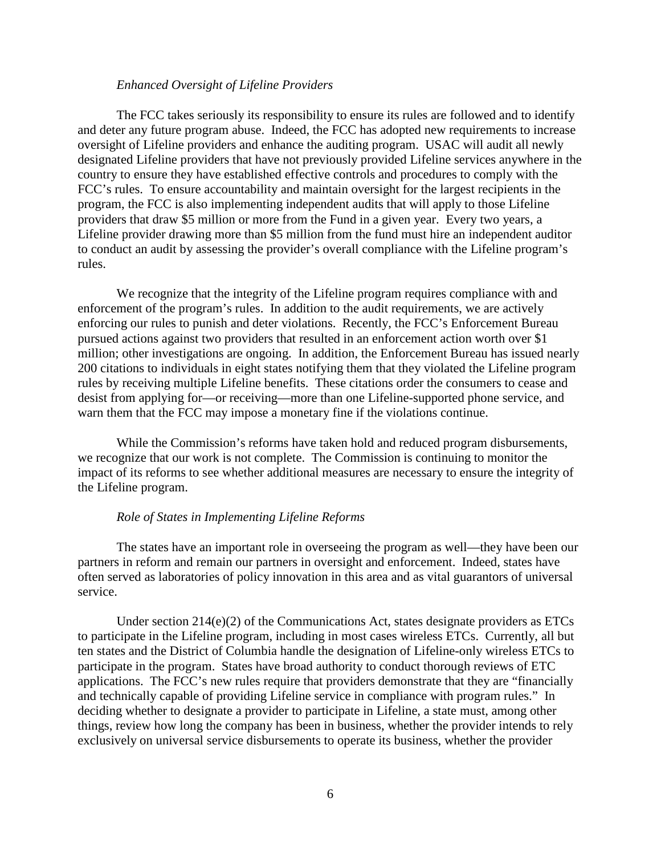## *Enhanced Oversight of Lifeline Providers*

The FCC takes seriously its responsibility to ensure its rules are followed and to identify and deter any future program abuse. Indeed, the FCC has adopted new requirements to increase oversight of Lifeline providers and enhance the auditing program. USAC will audit all newly designated Lifeline providers that have not previously provided Lifeline services anywhere in the country to ensure they have established effective controls and procedures to comply with the FCC's rules. To ensure accountability and maintain oversight for the largest recipients in the program, the FCC is also implementing independent audits that will apply to those Lifeline providers that draw \$5 million or more from the Fund in a given year. Every two years, a Lifeline provider drawing more than \$5 million from the fund must hire an independent auditor to conduct an audit by assessing the provider's overall compliance with the Lifeline program's rules.

We recognize that the integrity of the Lifeline program requires compliance with and enforcement of the program's rules. In addition to the audit requirements, we are actively enforcing our rules to punish and deter violations. Recently, the FCC's Enforcement Bureau pursued actions against two providers that resulted in an enforcement action worth over \$1 million; other investigations are ongoing. In addition, the Enforcement Bureau has issued nearly 200 citations to individuals in eight states notifying them that they violated the Lifeline program rules by receiving multiple Lifeline benefits. These citations order the consumers to cease and desist from applying for—or receiving—more than one Lifeline-supported phone service, and warn them that the FCC may impose a monetary fine if the violations continue.

While the Commission's reforms have taken hold and reduced program disbursements, we recognize that our work is not complete. The Commission is continuing to monitor the impact of its reforms to see whether additional measures are necessary to ensure the integrity of the Lifeline program.

#### *Role of States in Implementing Lifeline Reforms*

The states have an important role in overseeing the program as well—they have been our partners in reform and remain our partners in oversight and enforcement. Indeed, states have often served as laboratories of policy innovation in this area and as vital guarantors of universal service.

Under section 214(e)(2) of the Communications Act, states designate providers as ETCs to participate in the Lifeline program, including in most cases wireless ETCs. Currently, all but ten states and the District of Columbia handle the designation of Lifeline-only wireless ETCs to participate in the program. States have broad authority to conduct thorough reviews of ETC applications. The FCC's new rules require that providers demonstrate that they are "financially and technically capable of providing Lifeline service in compliance with program rules." In deciding whether to designate a provider to participate in Lifeline, a state must, among other things, review how long the company has been in business, whether the provider intends to rely exclusively on universal service disbursements to operate its business, whether the provider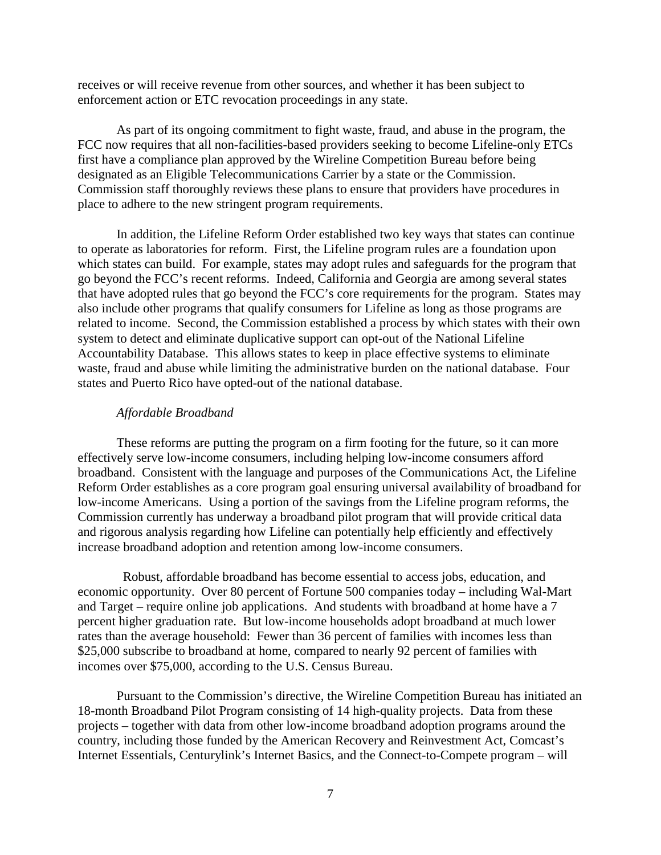receives or will receive revenue from other sources, and whether it has been subject to enforcement action or ETC revocation proceedings in any state.

As part of its ongoing commitment to fight waste, fraud, and abuse in the program, the FCC now requires that all non-facilities-based providers seeking to become Lifeline-only ETCs first have a compliance plan approved by the Wireline Competition Bureau before being designated as an Eligible Telecommunications Carrier by a state or the Commission. Commission staff thoroughly reviews these plans to ensure that providers have procedures in place to adhere to the new stringent program requirements.

In addition, the Lifeline Reform Order established two key ways that states can continue to operate as laboratories for reform. First, the Lifeline program rules are a foundation upon which states can build. For example, states may adopt rules and safeguards for the program that go beyond the FCC's recent reforms. Indeed, California and Georgia are among several states that have adopted rules that go beyond the FCC's core requirements for the program. States may also include other programs that qualify consumers for Lifeline as long as those programs are related to income. Second, the Commission established a process by which states with their own system to detect and eliminate duplicative support can opt-out of the National Lifeline Accountability Database. This allows states to keep in place effective systems to eliminate waste, fraud and abuse while limiting the administrative burden on the national database. Four states and Puerto Rico have opted-out of the national database.

## *Affordable Broadband*

These reforms are putting the program on a firm footing for the future, so it can more effectively serve low-income consumers, including helping low-income consumers afford broadband. Consistent with the language and purposes of the Communications Act, the Lifeline Reform Order establishes as a core program goal ensuring universal availability of broadband for low-income Americans. Using a portion of the savings from the Lifeline program reforms, the Commission currently has underway a broadband pilot program that will provide critical data and rigorous analysis regarding how Lifeline can potentially help efficiently and effectively increase broadband adoption and retention among low-income consumers.

Robust, affordable broadband has become essential to access jobs, education, and economic opportunity. Over 80 percent of Fortune 500 companies today – including Wal-Mart and Target – require online job applications. And students with broadband at home have a 7 percent higher graduation rate. But low-income households adopt broadband at much lower rates than the average household: Fewer than 36 percent of families with incomes less than \$25,000 subscribe to broadband at home, compared to nearly 92 percent of families with incomes over \$75,000, according to the U.S. Census Bureau.

Pursuant to the Commission's directive, the Wireline Competition Bureau has initiated an 18-month Broadband Pilot Program consisting of 14 high-quality projects. Data from these projects – together with data from other low-income broadband adoption programs around the country, including those funded by the American Recovery and Reinvestment Act, Comcast's Internet Essentials, Centurylink's Internet Basics, and the Connect-to-Compete program – will